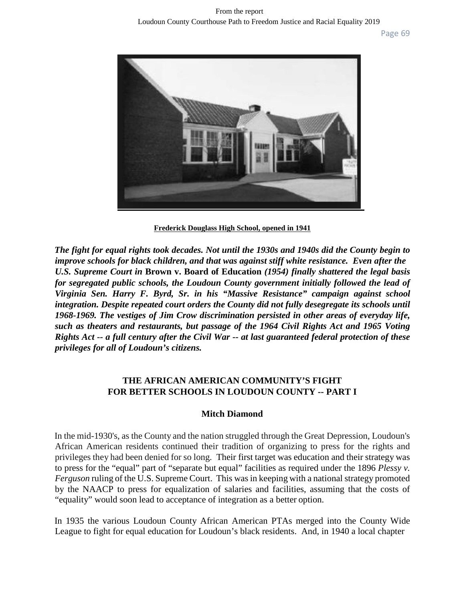

**Frederick Douglass High School, opened in 1941**

*The fight for equal rights took decades. Not until the 1930s and 1940s did the County begin to improve schools for black children, and that was against stiff white resistance. Even after the U.S. Supreme Court in* **Brown v. Board of Education** *(1954) finally shattered the legal basis*  for segregated public schools, the Loudoun County government initially followed the lead of *Virginia Sen. Harry F. Byrd, Sr. in his "Massive Resistance" campaign against school integration. Despite repeated court orders the County did not fully desegregate its schools until 1968-1969. The vestiges of Jim Crow discrimination persisted in other areas of everyday life, such as theaters and restaurants, but passage of the 1964 Civil Rights Act and 1965 Voting Rights Act -- a full century after the Civil War -- at last guaranteed federal protection of these privileges for all of Loudoun's citizens.*

# **THE AFRICAN AMERICAN COMMUNITY'S FIGHT FOR BETTER SCHOOLS IN LOUDOUN COUNTY -- PART I**

# **Mitch Diamond**

In the mid-1930's, as the County and the nation struggled through the Great Depression, Loudoun's African American residents continued their tradition of organizing to press for the rights and privileges they had been denied for so long. Their first target was education and their strategy was to press for the "equal" part of "separate but equal" facilities as required under the 1896 *Plessy v. Ferguson* ruling of the U.S. Supreme Court. This was in keeping with a national strategy promoted by the NAACP to press for equalization of salaries and facilities, assuming that the costs of "equality" would soon lead to acceptance of integration as a better option.

In 1935 the various Loudoun County African American PTAs merged into the County Wide League to fight for equal education for Loudoun's black residents. And, in 1940 a local chapter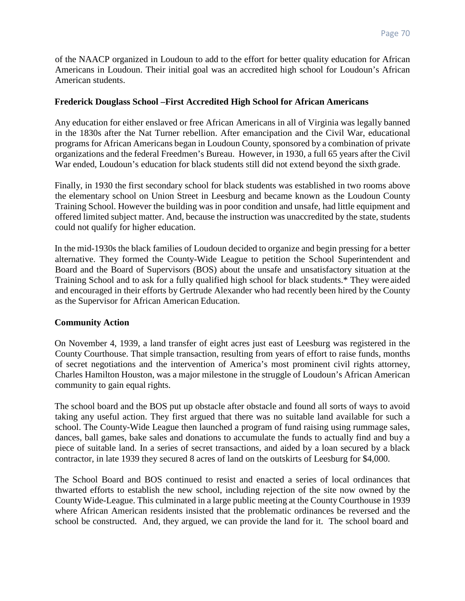of the NAACP organized in Loudoun to add to the effort for better quality education for African Americans in Loudoun. Their initial goal was an accredited high school for Loudoun's African American students.

## **Frederick Douglass School –First Accredited High School for African Americans**

Any education for either enslaved or free African Americans in all of Virginia was legally banned in the 1830s after the Nat Turner rebellion. After emancipation and the Civil War, educational programs for African Americans began in Loudoun County, sponsored by a combination of private organizations and the federal Freedmen's Bureau. However, in 1930, a full 65 years after the Civil War ended, Loudoun's education for black students still did not extend beyond the sixth grade.

Finally, in 1930 the first secondary school for black students was established in two rooms above the elementary school on Union Street in Leesburg and became known as the Loudoun County Training School. However the building was in poor condition and unsafe, had little equipment and offered limited subject matter. And, because the instruction was unaccredited by the state, students could not qualify for higher education.

In the mid-1930s the black families of Loudoun decided to organize and begin pressing for a better alternative. They formed the County-Wide League to petition the School Superintendent and Board and the Board of Supervisors (BOS) about the unsafe and unsatisfactory situation at the Training School and to ask for a fully qualified high school for black students.\* They were aided and encouraged in their efforts by Gertrude Alexander who had recently been hired by the County as the Supervisor for African American Education.

## **Community Action**

On November 4, 1939, a land transfer of eight acres just east of Leesburg was registered in the County Courthouse. That simple transaction, resulting from years of effort to raise funds, months of secret negotiations and the intervention of America's most prominent civil rights attorney, Charles Hamilton Houston, was a major milestone in the struggle of Loudoun's African American community to gain equal rights.

The school board and the BOS put up obstacle after obstacle and found all sorts of ways to avoid taking any useful action. They first argued that there was no suitable land available for such a school. The County-Wide League then launched a program of fund raising using rummage sales, dances, ball games, bake sales and donations to accumulate the funds to actually find and buy a piece of suitable land. In a series of secret transactions, and aided by a loan secured by a black contractor, in late 1939 they secured 8 acres of land on the outskirts of Leesburg for \$4,000.

The School Board and BOS continued to resist and enacted a series of local ordinances that thwarted efforts to establish the new school, including rejection of the site now owned by the County Wide-League. This culminated in a large public meeting at the CountyCourthouse in 1939 where African American residents insisted that the problematic ordinances be reversed and the school be constructed. And, they argued, we can provide the land for it. The school board and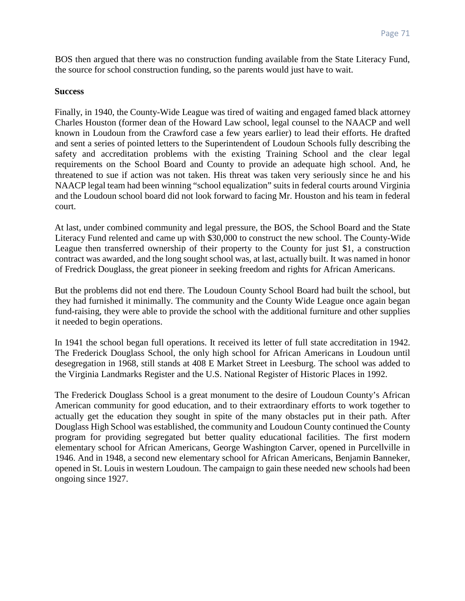BOS then argued that there was no construction funding available from the State Literacy Fund, the source for school construction funding, so the parents would just have to wait.

### **Success**

Finally, in 1940, the County-Wide League was tired of waiting and engaged famed black attorney Charles Houston (former dean of the Howard Law school, legal counsel to the NAACP and well known in Loudoun from the Crawford case a few years earlier) to lead their efforts. He drafted and sent a series of pointed letters to the Superintendent of Loudoun Schools fully describing the safety and accreditation problems with the existing Training School and the clear legal requirements on the School Board and County to provide an adequate high school. And, he threatened to sue if action was not taken. His threat was taken very seriously since he and his NAACP legal team had been winning "school equalization" suits in federal courts around Virginia and the Loudoun school board did not look forward to facing Mr. Houston and his team in federal court.

At last, under combined community and legal pressure, the BOS, the School Board and the State Literacy Fund relented and came up with \$30,000 to construct the new school. The County-Wide League then transferred ownership of their property to the County for just \$1, a construction contract was awarded, and the long sought school was, at last, actually built. It was named in honor of Fredrick Douglass, the great pioneer in seeking freedom and rights for African Americans.

But the problems did not end there. The Loudoun County School Board had built the school, but they had furnished it minimally. The community and the County Wide League once again began fund-raising, they were able to provide the school with the additional furniture and other supplies it needed to begin operations.

In 1941 the school began full operations. It received its letter of full state accreditation in 1942. The Frederick Douglass School, the only high school for African Americans in Loudoun until desegregation in 1968, still stands at 408 E Market Street in Leesburg. The school was added to the Virginia Landmarks Register and the U.S. National Register of Historic Places in 1992.

The Frederick Douglass School is a great monument to the desire of Loudoun County's African American community for good education, and to their extraordinary efforts to work together to actually get the education they sought in spite of the many obstacles put in their path. After Douglass High School was established, the community and Loudoun County continued the County program for providing segregated but better quality educational facilities. The first modern elementary school for African Americans, George Washington Carver, opened in Purcellville in 1946. And in 1948, a second new elementary school for African Americans, Benjamin Banneker, opened in St. Louis in western Loudoun. The campaign to gain these needed new schools had been ongoing since 1927.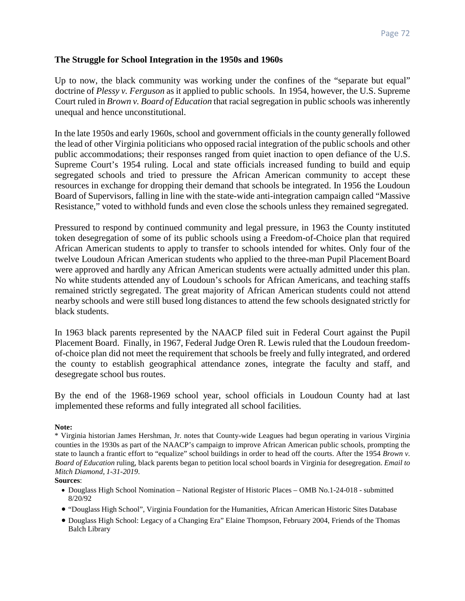## **The Struggle for School Integration in the 1950s and 1960s**

Up to now, the black community was working under the confines of the "separate but equal" doctrine of *Plessy v. Ferguson* as it applied to public schools. In 1954, however, the U.S. Supreme Court ruled in *Brown v. Board of Education* that racial segregation in public schools wasinherently unequal and hence unconstitutional.

In the late 1950s and early 1960s, school and government officials in the county generally followed the lead of other Virginia politicians who opposed racial integration of the public schools and other public accommodations; their responses ranged from quiet inaction to open defiance of the U.S. Supreme Court's 1954 ruling. Local and state officials increased funding to build and equip segregated schools and tried to pressure the African American community to accept these resources in exchange for dropping their demand that schools be integrated. In 1956 the Loudoun Board of Supervisors, falling in line with the state-wide anti-integration campaign called "Massive Resistance," voted to withhold funds and even close the schools unless they remained segregated.

Pressured to respond by continued community and legal pressure, in 1963 the County instituted token desegregation of some of its public schools using a Freedom-of-Choice plan that required African American students to apply to transfer to schools intended for whites. Only four of the twelve Loudoun African American students who applied to the three-man Pupil PlacementBoard were approved and hardly any African American students were actually admitted under this plan. No white students attended any of Loudoun's schools for African Americans, and teaching staffs remained strictly segregated. The great majority of African American students could not attend nearby schools and were still bused long distances to attend the few schools designated strictly for black students.

In 1963 black parents represented by the NAACP filed suit in Federal Court against the Pupil Placement Board. Finally, in 1967, Federal Judge Oren R. Lewis ruled that the Loudoun freedomof-choice plan did not meet the requirement that schools be freely and fully integrated, and ordered the county to establish geographical attendance zones, integrate the faculty and staff, and desegregate school bus routes.

By the end of the 1968-1969 school year, school officials in Loudoun County had at last implemented these reforms and fully integrated all school facilities.

#### **Note:**

\* Virginia historian James Hershman, Jr. notes that County-wide Leagues had begun operating in various Virginia counties in the 1930s as part of the NAACP's campaign to improve African American public schools, prompting the state to launch a frantic effort to "equalize" school buildings in order to head off the courts. After the 1954 *Brown v. Board of Education* ruling, black parents began to petition local school boards in Virginia for desegregation. *Email to Mitch Diamond, 1-31-2019*.

#### **Sources**:

- Douglass High School Nomination National Register of Historic Places OMB No.1-24-018 submitted 8/20/92
- "Douglass High School", Virginia Foundation for the Humanities, African American Historic Sites Database
- Douglass High School: Legacy of a Changing Era" Elaine Thompson, February 2004, Friends of the Thomas Balch Library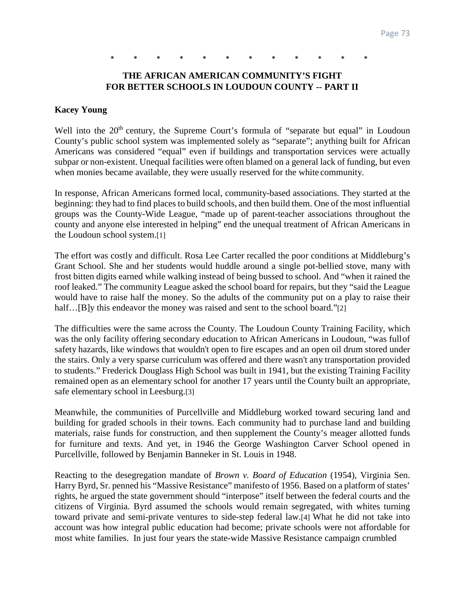## \* \* \* \* \* \* \* \* \* \* \* \*

### **THE AFRICAN AMERICAN COMMUNITY'S FIGHT FOR BETTER SCHOOLS IN LOUDOUN COUNTY -- PART II**

#### **Kacey Young**

Well into the  $20<sup>th</sup>$  century, the Supreme Court's formula of "separate but equal" in Loudoun County's public school system was implemented solely as "separate"; anything built for African Americans was considered "equal" even if buildings and transportation services were actually subpar or non-existent. Unequal facilities were often blamed on a general lack of funding, but even when monies became available, they were usually reserved for the white community.

In response, African Americans formed local, community-based associations. They started at the beginning: they had to find places to build schools, and then build them. One of the most influential groups was the County-Wide League, "made up of parent-teacher associations throughout the county and anyone else interested in helping" end the unequal treatment of African Americans in the Loudoun school system.[1]

The effort was costly and difficult. Rosa Lee Carter recalled the poor conditions at Middleburg's Grant School. She and her students would huddle around a single pot-bellied stove, many with frost bitten digits earned while walking instead of being bussed to school. And "when it rained the roof leaked." The community League asked the school board for repairs, but they "said the League would have to raise half the money. So the adults of the community put on a play to raise their half...[B]y this endeavor the money was raised and sent to the school board."[2]

The difficulties were the same across the County. The Loudoun County Training Facility, which was the only facility offering secondary education to African Americans in Loudoun, "was fullof safety hazards, like windows that wouldn't open to fire escapes and an open oil drum stored under the stairs. Only a very sparse curriculum was offered and there wasn't any transportation provided to students." Frederick Douglass High School was built in 1941, but the existing Training Facility remained open as an elementary school for another 17 years until the County built an appropriate, safe elementary school in Leesburg.[3]

Meanwhile, the communities of Purcellville and Middleburg worked toward securing land and building for graded schools in their towns. Each community had to purchase land and building materials, raise funds for construction, and then supplement the County's meager allotted funds for furniture and texts. And yet, in 1946 the George Washington Carver School opened in Purcellville, followed by Benjamin Banneker in St. Louis in 1948.

Reacting to the desegregation mandate of *Brown v. Board of Education* (1954), Virginia Sen. Harry Byrd, Sr. penned his "Massive Resistance" manifesto of 1956. Based on a platform of states' rights, he argued the state government should "interpose" itself between the federal courts and the citizens of Virginia. Byrd assumed the schools would remain segregated, with whites turning toward private and semi-private ventures to side-step federal law.[4] What he did not take into account was how integral public education had become; private schools were not affordable for most white families. In just four years the state-wide Massive Resistance campaign crumbled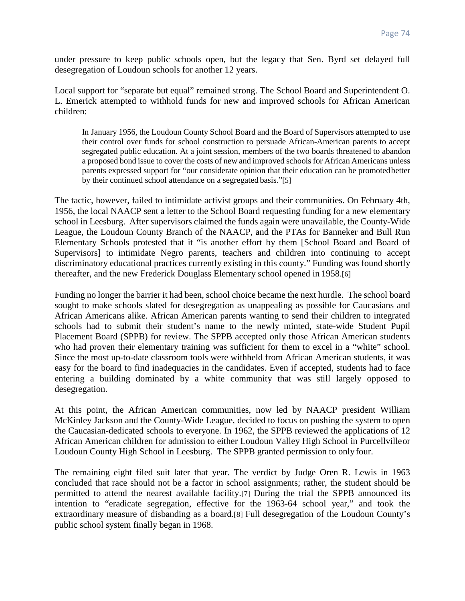under pressure to keep public schools open, but the legacy that Sen. Byrd set delayed full desegregation of Loudoun schools for another 12 years.

Local support for "separate but equal" remained strong. The School Board and Superintendent O. L. Emerick attempted to withhold funds for new and improved schools for African American children:

In January 1956, the Loudoun County School Board and the Board of Supervisors attempted to use their control over funds for school construction to persuade African-American parents to accept segregated public education. At a joint session, members of the two boards threatened to abandon a proposed bond issue to cover the costs of new and improved schools for African Americans unless parents expressed support for "our considerate opinion that their education can be promotedbetter by their continued school attendance on a segregated basis."[5]

The tactic, however, failed to intimidate activist groups and their communities. On February 4th, 1956, the local NAACP sent a letter to the School Board requesting funding for a new elementary school in Leesburg. After supervisors claimed the funds again were unavailable, the County-Wide League, the Loudoun County Branch of the NAACP, and the PTAs for Banneker and Bull Run Elementary Schools protested that it "is another effort by them [School Board and Board of Supervisors] to intimidate Negro parents, teachers and children into continuing to accept discriminatory educational practices currently existing in this county." Funding was found shortly thereafter, and the new Frederick Douglass Elementary school opened in 1958.[6]

Funding no longer the barrier it had been, school choice became the next hurdle. The school board sought to make schools slated for desegregation as unappealing as possible for Caucasians and African Americans alike. African American parents wanting to send their children to integrated schools had to submit their student's name to the newly minted, state-wide Student Pupil Placement Board (SPPB) for review. The SPPB accepted only those African American students who had proven their elementary training was sufficient for them to excel in a "white" school. Since the most up-to-date classroom tools were withheld from African American students, it was easy for the board to find inadequacies in the candidates. Even if accepted, students had to face entering a building dominated by a white community that was still largely opposed to desegregation.

At this point, the African American communities, now led by NAACP president William McKinley Jackson and the County-Wide League, decided to focus on pushing the system to open the Caucasian-dedicated schools to everyone. In 1962, the SPPB reviewed the applications of 12 African American children for admission to either Loudoun Valley High School in Purcellvilleor Loudoun County High School in Leesburg. The SPPB granted permission to only four.

The remaining eight filed suit later that year. The verdict by Judge Oren R. Lewis in 1963 concluded that race should not be a factor in school assignments; rather, the student should be permitted to attend the nearest available facility.[7] During the trial the SPPB announced its intention to "eradicate segregation, effective for the 1963-64 school year," and took the extraordinary measure of disbanding as a board.[8] Full desegregation of the Loudoun County's public school system finally began in 1968.